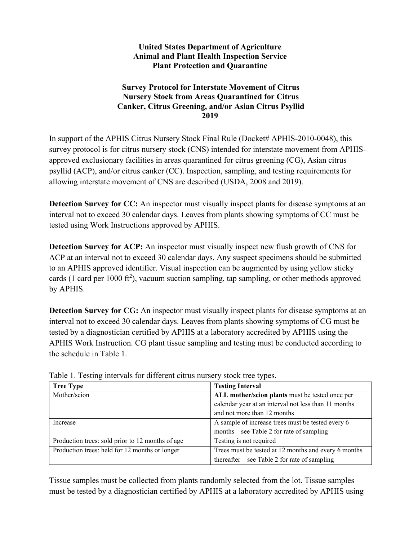## **United States Department of Agriculture Animal and Plant Health Inspection Service Plant Protection and Quarantine**

## **Survey Protocol for Interstate Movement of Citrus Nursery Stock from Areas Quarantined for Citrus Canker, Citrus Greening, and/or Asian Citrus Psyllid 2019**

In support of the APHIS Citrus Nursery Stock Final Rule (Docket# APHIS-2010-0048), this survey protocol is for citrus nursery stock (CNS) intended for interstate movement from APHISapproved exclusionary facilities in areas quarantined for citrus greening (CG), Asian citrus psyllid (ACP), and/or citrus canker (CC). Inspection, sampling, and testing requirements for allowing interstate movement of CNS are described (USDA, 2008 and 2019).

**Detection Survey for CC:** An inspector must visually inspect plants for disease symptoms at an interval not to exceed 30 calendar days. Leaves from plants showing symptoms of CC must be tested using Work Instructions approved by APHIS.

**Detection Survey for ACP:** An inspector must visually inspect new flush growth of CNS for ACP at an interval not to exceed 30 calendar days. Any suspect specimens should be submitted to an APHIS approved identifier. Visual inspection can be augmented by using yellow sticky cards (1 card per 1000 ft<sup>2</sup>), vacuum suction sampling, tap sampling, or other methods approved by APHIS.

**Detection Survey for CG:** An inspector must visually inspect plants for disease symptoms at an interval not to exceed 30 calendar days. Leaves from plants showing symptoms of CG must be tested by a diagnostician certified by APHIS at a laboratory accredited by APHIS using the APHIS Work Instruction. CG plant tissue sampling and testing must be conducted according to the schedule in Table 1.

| <b>Tree Type</b>                                 | <b>Testing Interval</b>                              |  |
|--------------------------------------------------|------------------------------------------------------|--|
| Mother/scion                                     | ALL mother/scion plants must be tested once per      |  |
|                                                  | calendar year at an interval not less than 11 months |  |
|                                                  | and not more than 12 months                          |  |
| Increase                                         | A sample of increase trees must be tested every 6    |  |
|                                                  | months – see Table 2 for rate of sampling            |  |
| Production trees: sold prior to 12 months of age | Testing is not required                              |  |
| Production trees: held for 12 months or longer   | Trees must be tested at 12 months and every 6 months |  |
|                                                  | thereafter – see Table 2 for rate of sampling        |  |
|                                                  |                                                      |  |

Table 1. Testing intervals for different citrus nursery stock tree types.

Tissue samples must be collected from plants randomly selected from the lot. Tissue samples must be tested by a diagnostician certified by APHIS at a laboratory accredited by APHIS using